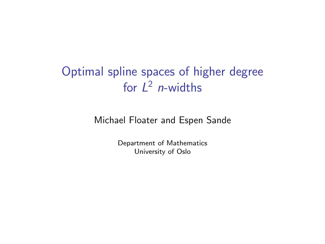# Optimal spline spaces of higher degree for  $L^2$  *n*-widths

#### Michael Floater and Espen Sande

Department of Mathematics University of Oslo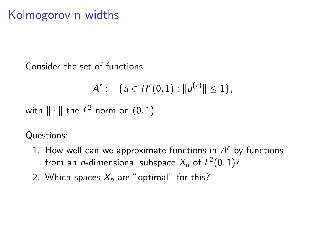# Kolmogorov n-widths

Consider the set of functions

$$
A^r:=\{u\in H^r(0,1):||u^{(r)}||\leq 1\},\
$$

with  $\|\cdot\|$  the  $L^2$  norm on  $(0, 1)$ .

Questions:

- 1. How well can we approximate functions in  $A<sup>r</sup>$  by functions from an *n*-dimensional subspace  $X_n$  of  $L^2(0,1)$ ?
- 2. Which spaces  $X_n$  are "optimal" for this?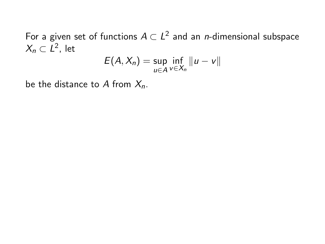For a given set of functions  $A\subset L^2$  and an *n*-dimensional subspace  $X_n \subset L^2$ , let

$$
E(A, X_n) = \sup_{u \in A} \inf_{v \in X_n} ||u - v||
$$

be the distance to A from  $X_n$ .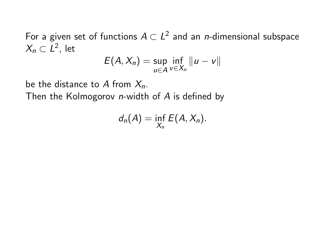For a given set of functions  $A\subset L^2$  and an *n*-dimensional subspace  $X_n \subset L^2$ , let

$$
E(A, X_n) = \sup_{u \in A} \inf_{v \in X_n} ||u - v||
$$

be the distance to A from  $X_n$ .

Then the Kolmogorov n-width of A is defined by

$$
d_n(A) = \inf_{X_n} E(A, X_n).
$$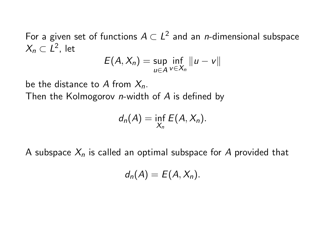For a given set of functions  $A\subset L^2$  and an *n*-dimensional subspace  $X_n \subset L^2$ , let

$$
E(A, X_n) = \sup_{u \in A} \inf_{v \in X_n} ||u - v||
$$

be the distance to A from  $X_n$ .

Then the Kolmogorov *n*-width of A is defined by

$$
d_n(A) = \inf_{X_n} E(A, X_n).
$$

A subspace  $X_n$  is called an optimal subspace for A provided that

$$
d_n(A)=E(A,X_n).
$$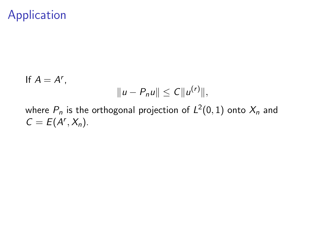# Application

# If  $A = A^r$ ,  $||u - P_n u|| \leq C ||u^{(r)}||,$ where  $P_n$  is the orthogonal projection of  $L^2(0,1)$  onto  $X_n$  and  $C = E(A^r, X_n).$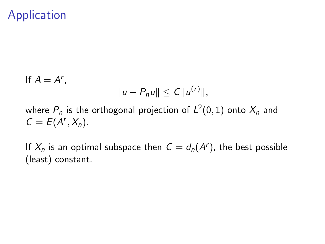# Application

# If  $A = A^r$ ,  $||u - P_n u|| \leq C ||u^{(r)}||,$ where  $P_n$  is the orthogonal projection of  $L^2(0,1)$  onto  $X_n$  and  $C = E(A^r, X_n).$

If  $X_n$  is an optimal subspace then  $C = d_n(A^r)$ , the best possible (least) constant.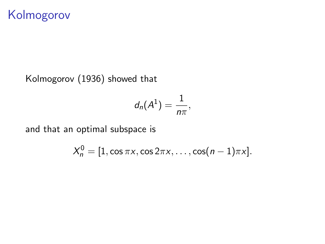# Kolmogorov

#### Kolmogorov (1936) showed that

$$
d_n(A^1)=\frac{1}{n\pi},
$$

and that an optimal subspace is

$$
X_n^0 = [1, \cos \pi x, \cos 2\pi x, \ldots, \cos(n-1)\pi x].
$$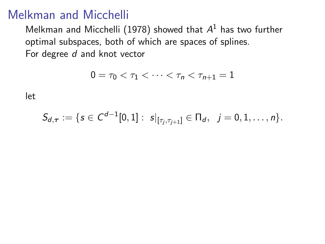## Melkman and Micchelli

Melkman and Micchelli (1978) showed that  $\mathcal{A}^1$  has two further optimal subspaces, both of which are spaces of splines. For degree d and knot vector

$$
0 = \tau_0 < \tau_1 < \cdots < \tau_n < \tau_{n+1} = 1
$$

let

$$
S_{d,\tau}:=\{s\in C^{d-1}[0,1]:|s|_{[\tau_j,\tau_{j+1}]}\in\Pi_d,\;\;j=0,1,\ldots,n\}.
$$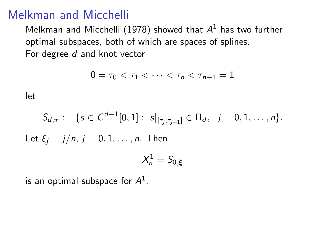## Melkman and Micchelli

Melkman and Micchelli (1978) showed that  $\mathcal{A}^1$  has two further optimal subspaces, both of which are spaces of splines. For degree d and knot vector

$$
0 = \tau_0 < \tau_1 < \cdots < \tau_n < \tau_{n+1} = 1
$$

let

$$
S_{d,\tau} := \{ s \in C^{d-1}[0,1] : s|_{[\tau_j, \tau_{j+1}]} \in \Pi_d, \ \ j = 0, 1, \dots, n \}.
$$
  
Let  $\xi_j = j/n, j = 0, 1, \dots, n$ . Then  

$$
X_n^1 = S_{0,\xi}
$$

is an optimal subspace for  $A^1$ .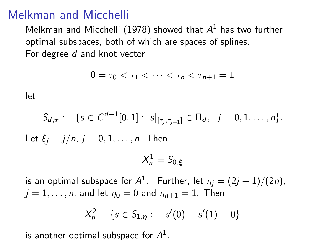### Melkman and Micchelli

Melkman and Micchelli (1978) showed that  $\mathcal{A}^1$  has two further optimal subspaces, both of which are spaces of splines. For degree d and knot vector

$$
0 = \tau_0 < \tau_1 < \cdots < \tau_n < \tau_{n+1} = 1
$$

let

$$
S_{d,\tau} := \{ s \in C^{d-1}[0,1]: s|_{[\tau_j,\tau_{j+1}]} \in \Pi_d, \ \ j=0,1,\ldots,n \}.
$$
  
Let  $\xi_j = j/n, j = 0,1,\ldots,n$ . Then

$$
\mathop \chi \nolimits_n^1 = \mathop S\nolimits_{0,\xi}
$$

is an optimal subspace for  $A^1$ . Further, let  $\eta_j=(2j-1)/(2n)$ ,  $j = 1, \ldots, n$ , and let  $\eta_0 = 0$  and  $\eta_{n+1} = 1$ . Then

$$
X_n^2 = \{s \in S_{1,\eta}: s'(0) = s'(1) = 0\}
$$

is another optimal subspace for  $A^1$ .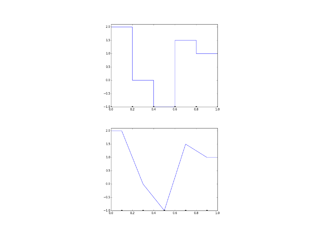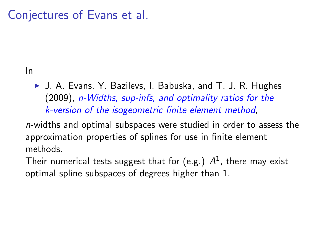Conjectures of Evans et al.

#### In

▶ J. A. Evans, Y. Bazilevs, I. Babuska, and T. J. R. Hughes (2009), n-Widths, sup-infs, and optimality ratios for the k-version of the isogeometric finite element method,

n-widths and optimal subspaces were studied in order to assess the approximation properties of splines for use in finite element methods.

Their numerical tests suggest that for (e.g.)  $A^1$ , there may exist optimal spline subspaces of degrees higher than 1.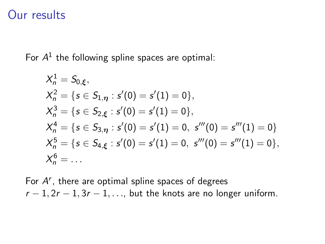### Our results

For  $A<sup>1</sup>$  the following spline spaces are optimal:

$$
\begin{aligned}\nX_n^1 &= S_{0,\xi}, \\
X_n^2 &= \{s \in S_{1,\eta} : s'(0) = s'(1) = 0\}, \\
X_n^3 &= \{s \in S_{2,\xi} : s'(0) = s'(1) = 0\}, \\
X_n^4 &= \{s \in S_{3,\eta} : s'(0) = s'(1) = 0, \ s'''(0) = s'''(1) = 0\}, \\
X_n^5 &= \{s \in S_{4,\xi} : s'(0) = s'(1) = 0, \ s'''(0) = s'''(1) = 0\}, \\
X_n^6 &= \dots\n\end{aligned}
$$

For  $A^r$ , there are optimal spline spaces of degrees  $r-1$ ,  $2r-1$ ,  $3r-1$ , ..., but the knots are no longer uniform.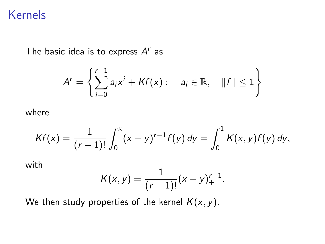# Kernels

The basic idea is to express  $A<sup>r</sup>$  as

$$
A^{r} = \left\{ \sum_{i=0}^{r-1} a_{i} x^{i} + Kf(x) : a_{i} \in \mathbb{R}, \|f\| \leq 1 \right\}
$$

where

$$
Kf(x) = \frac{1}{(r-1)!} \int_0^x (x-y)^{r-1} f(y) \, dy = \int_0^1 K(x,y) f(y) \, dy,
$$

with

$$
K(x,y) = \frac{1}{(r-1)!}(x-y)^{r-1}_{+}.
$$

We then study properties of the kernel  $K(x, y)$ .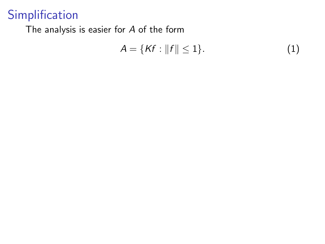# Simplification

The analysis is easier for A of the form

<span id="page-15-0"></span>
$$
A = \{ Kf : \|f\| \le 1 \}. \tag{1}
$$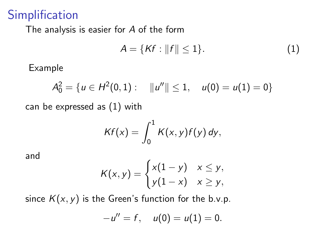### **Simplification**

The analysis is easier for A of the form

$$
A = \{ Kf : \|f\| \le 1 \}. \tag{1}
$$

Example

 $A_0^2 = \{u \in H^2(0,1): \quad ||u''|| \le 1, \quad u(0) = u(1) = 0\}$ 

can be expressed as [\(1\)](#page-15-0) with

$$
Kf(x) = \int_0^1 K(x,y)f(y) dy,
$$

and

$$
K(x,y) = \begin{cases} x(1-y) & x \leq y, \\ y(1-x) & x \geq y, \end{cases}
$$

since  $K(x, y)$  is the Green's function for the b.v.p.

$$
-u'' = f, \quad u(0) = u(1) = 0.
$$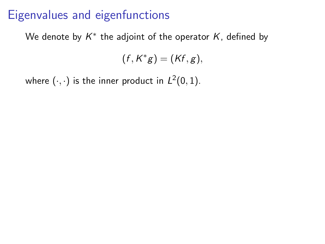# Eigenvalues and eigenfunctions

We denote by  $K^*$  the adjoint of the operator  $K$ , defined by

$$
(f, K^*g) = (Kf, g),
$$

where  $(\cdot,\cdot)$  is the inner product in  $L^2(0,1).$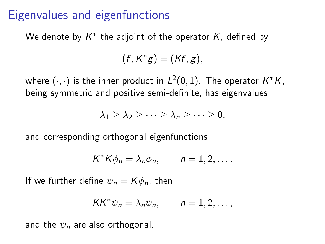# Eigenvalues and eigenfunctions

We denote by  $K^*$  the adjoint of the operator  $K$ , defined by

$$
(f, K^*g) = (Kf, g),
$$

where  $(\cdot,\cdot)$  is the inner product in  $L^2(0,1)$ . The operator  $\mathsf{K}^*\mathsf{K},$ being symmetric and positive semi-definite, has eigenvalues

$$
\lambda_1\geq \lambda_2\geq \cdots \geq \lambda_n\geq \cdots \geq 0,
$$

and corresponding orthogonal eigenfunctions

$$
K^*K\phi_n=\lambda_n\phi_n, \qquad n=1,2,\ldots.
$$

If we further define  $\psi_n = K \phi_n$ , then

$$
KK^*\psi_n = \lambda_n \psi_n, \qquad n = 1, 2, \ldots,
$$

and the  $\psi_n$  are also orthogonal.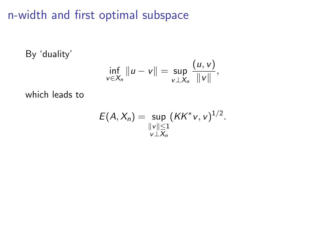# n-width and first optimal subspace

By 'duality'

$$
\inf_{v\in X_n}||u-v||=\sup_{v\perp X_n}\frac{(u,v)}{||v||},
$$

which leads to

$$
E(A, X_n) = \sup_{\substack{\|v\| \leq 1 \\ v \perp X_n}} (KK^*v, v)^{1/2}.
$$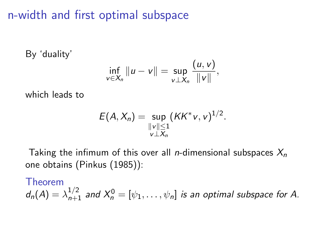# n-width and first optimal subspace

By 'duality'

$$
\inf_{v\in X_n}||u-v||=\sup_{v\perp X_n}\frac{(u,v)}{||v||},
$$

which leads to

$$
E(A, X_n) = \sup_{\substack{\|v\| \leq 1 \\ v \perp X_n}} (KK^*v, v)^{1/2}.
$$

Taking the infimum of this over all *n*-dimensional subspaces  $X_n$ one obtains (Pinkus (1985)):

Theorem

$$
d_n(A) = \lambda_{n+1}^{1/2}
$$
 and  $X_n^0 = [\psi_1, \dots, \psi_n]$  is an optimal subspace for A.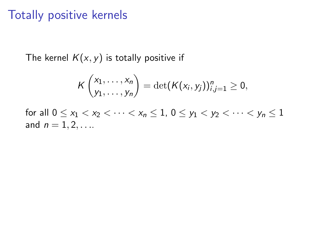### Totally positive kernels

The kernel  $K(x, y)$  is totally positive if

$$
K\begin{pmatrix}x_1,\ldots,x_n\\y_1,\ldots,y_n\end{pmatrix}=\det(K(x_i,y_j))_{i,j=1}^n\geq 0,
$$

for all  $0 \le x_1 < x_2 < \cdots < x_n \le 1$ ,  $0 \le y_1 < y_2 < \cdots < y_n \le 1$ and  $n = 1, 2, ...$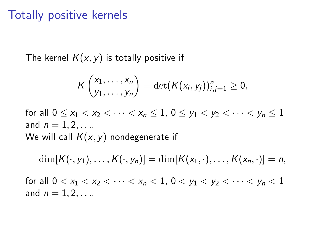### Totally positive kernels

The kernel  $K(x, y)$  is totally positive if

$$
K\begin{pmatrix}x_1,\ldots,x_n\\y_1,\ldots,y_n\end{pmatrix}=\det(K(x_i,y_j))_{i,j=1}^n\geq 0,
$$

for all  $0 \le x_1 < x_2 < \cdots < x_n \le 1$ ,  $0 \le y_1 < y_2 < \cdots < y_n < 1$ and  $n = 1, 2, ...$ We will call  $K(x, y)$  nondegenerate if

$$
\dim[K(\cdot, y_1), \dots, K(\cdot, y_n)] = \dim[K(x_1, \cdot), \dots, K(x_n, \cdot)] = n,
$$
  
for all  $0 < x_1 < x_2 < \dots < x_n < 1$ ,  $0 < y_1 < y_2 < \dots < y_n < 1$   
and  $n = 1, 2, \dots$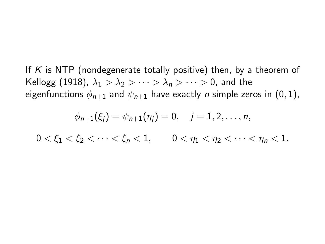If K is NTP (nondegenerate totally positive) then, by a theorem of Kellogg (1918),  $\lambda_1 > \lambda_2 > \cdots > \lambda_n > \cdots > 0$ , and the eigenfunctions  $\phi_{n+1}$  and  $\psi_{n+1}$  have exactly *n* simple zeros in (0, 1),

$$
\phi_{n+1}(\xi_j) = \psi_{n+1}(\eta_j) = 0, \quad j = 1, 2, ..., n,
$$

 $0 < \xi_1 < \xi_2 < \cdots < \xi_n < 1, \qquad 0 < \eta_1 < \eta_2 < \cdots < \eta_n < 1.$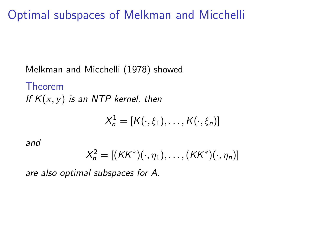# Optimal subspaces of Melkman and Micchelli

Melkman and Micchelli (1978) showed

Theorem If  $K(x, y)$  is an NTP kernel, then

$$
X_n^1 = [K(\cdot,\xi_1),\ldots,K(\cdot,\xi_n)]
$$

and

$$
X_n^2 = [(KK^*)(\cdot, \eta_1), \ldots, (KK^*)(\cdot, \eta_n)]
$$

are also optimal subspaces for A.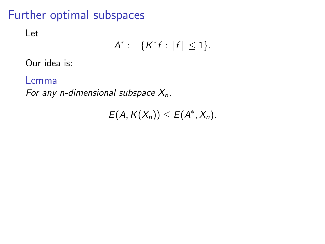# Further optimal subspaces

Let

$$
A^* := \{K^*f : \|f\| \le 1\}.
$$

Our idea is:

Lemma

For any n-dimensional subspace  $X_n$ ,

 $E(A, K(X_n)) \leq E(A^*, X_n).$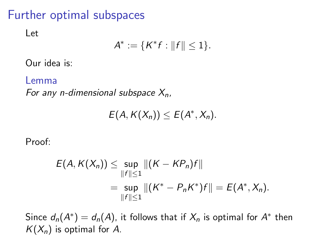# Further optimal subspaces

Let

$$
A^* := \{K^*f : \|f\| \le 1\}.
$$

Our idea is:

Lemma

For any n-dimensional subspace  $X_n$ ,

```
E(A, K(X_n)) \leq E(A^*, X_n).
```
Proof:

$$
E(A, K(X_n)) \le \sup_{\|f\| \le 1} \|(K - KP_n)f\|
$$
  
=  $\sup_{\|f\| \le 1} \|(K^* - P_nK^*)f\| = E(A^*, X_n).$ 

Since  $d_n(A^*) = d_n(A)$ , it follows that if  $X_n$  is optimal for  $A^*$  then  $K(X_n)$  is optimal for A.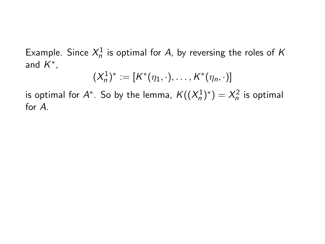Example. Since  $X_n^1$  is optimal for A, by reversing the roles of K and  $K^*$ ,

$$
(X_n^1)^* := [K^*(\eta_1,\cdot),\ldots,K^*(\eta_n,\cdot)]
$$

is optimal for  $A^*$ . So by the lemma,  $K((X_n^1)^*) = X_n^2$  is optimal for A.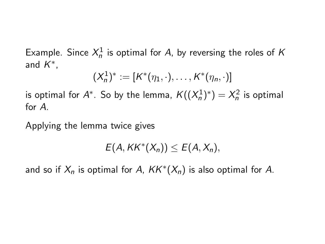Example. Since  $X_n^1$  is optimal for A, by reversing the roles of K and  $K^*$ ,

$$
(X_n^1)^* := [K^*(\eta_1,\cdot),\ldots,K^*(\eta_n,\cdot)]
$$

is optimal for  $A^*$ . So by the lemma,  $K((X_n^1)^*) = X_n^2$  is optimal for A.

Applying the lemma twice gives

$$
E(A, KK^*(X_n)) \leq E(A, X_n),
$$

and so if  $X_n$  is optimal for A,  $\mathcal{K}\mathcal{K}^*(X_n)$  is also optimal for A.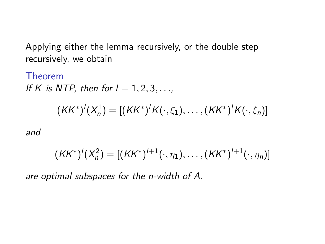Applying either the lemma recursively, or the double step recursively, we obtain

Theorem If K is NTP, then for  $l = 1, 2, 3, \ldots$ ,

$$
(KK^*)^l(X_n^1) = [(KK^*)^l K(\cdot, \xi_1), \ldots, (KK^*)^l K(\cdot, \xi_n)]
$$

and

$$
(KK^*)^l(X_n^2) = [(KK^*)^{l+1}(\cdot, \eta_1), \ldots, (KK^*)^{l+1}(\cdot, \eta_n)]
$$

are optimal subspaces for the n-width of A.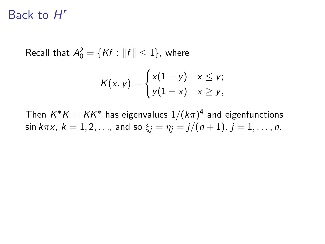# Back to  $H'$

Recall that  $A_0^2 = \{ Kf : ||f|| \leq 1 \}$ , where

$$
K(x,y) = \begin{cases} x(1-y) & x \leq y; \\ y(1-x) & x \geq y, \end{cases}
$$

Then  $\mathcal{K}^*\mathcal{K}=\mathcal{K}\mathcal{K}^*$  has eigenvalues  $1/(k\pi)^4$  and eigenfunctions sin  $k\pi x$ ,  $k = 1, 2, \ldots$ , and so  $\xi_i = \eta_i = j/(n + 1)$ ,  $j = 1, \ldots, n$ .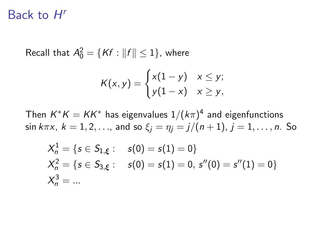# Back to  $H'$

Recall that  $A_0^2 = \{ Kf : ||f|| \leq 1 \}$ , where

$$
K(x,y) = \begin{cases} x(1-y) & x \leq y; \\ y(1-x) & x \geq y, \end{cases}
$$

Then  $\mathcal{K}^*\mathcal{K}=\mathcal{K}\mathcal{K}^*$  has eigenvalues  $1/(k\pi)^4$  and eigenfunctions sin  $k\pi x$ ,  $k = 1, 2, \ldots$ , and so  $\xi_i = \eta_i = j/(n + 1)$ ,  $j = 1, \ldots, n$ . So

$$
\begin{aligned}\nX_n^1 &= \{ s \in S_{1,\xi} : & s(0) &= s(1) = 0 \} \\
X_n^2 &= \{ s \in S_{3,\xi} : & s(0) &= s(1) = 0, \ s''(0) = s''(1) = 0 \} \\
X_n^3 &= \dots\n\end{aligned}
$$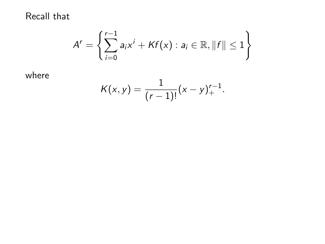Recall that

$$
A^r = \left\{ \sum_{i=0}^{r-1} a_i x^i + Kf(x) : a_i \in \mathbb{R}, ||f|| \leq 1 \right\}
$$

where

$$
K(x,y) = \frac{1}{(r-1)!}(x-y)^{r-1}_{+}.
$$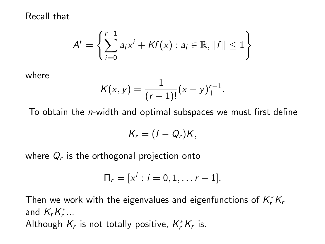Recall that

$$
A^r = \left\{ \sum_{i=0}^{r-1} a_i x^i + Kf(x) : a_i \in \mathbb{R}, ||f|| \leq 1 \right\}
$$

where

$$
K(x,y) = \frac{1}{(r-1)!}(x-y)^{r-1}_{+}.
$$

To obtain the n-width and optimal subspaces we must first define

$$
K_r=(I-Q_r)K,
$$

where  $Q_r$  is the orthogonal projection onto

$$
\Pi_r = [x^i : i = 0, 1, \dots r - 1].
$$

Then we work with the eigenvalues and eigenfunctions of  $K_r^*K_r$ and  $K_rK_r^*...$ Although  $K_r$  is not totally positive,  $K_r^*K_r$  is.